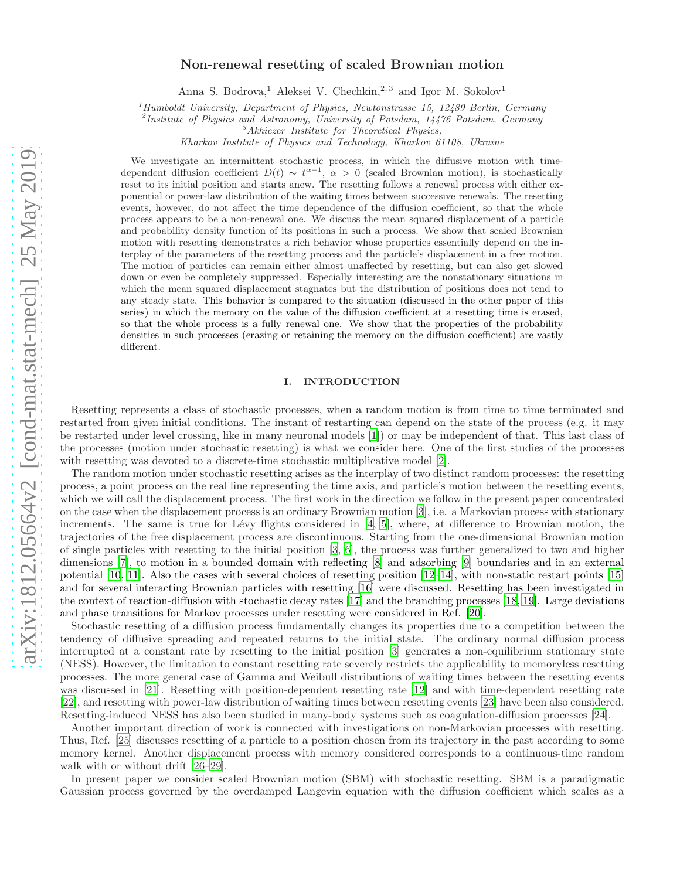# Non-renewal resetting of scaled Brownian motion

Anna S. Bodrova,<sup>1</sup> Aleksei V. Chechkin,<sup>2,3</sup> and Igor M. Sokolov<sup>1</sup>

<sup>1</sup>*Humboldt University, Department of Physics, Newtonstrasse 15, 12489 Berlin, Germany*

2 *Institute of Physics and Astronomy, University of Potsdam, 14476 Potsdam, Germany*

<sup>3</sup>*Akhiezer Institute for Theoretical Physics,*

*Kharkov Institute of Physics and Technology, Kharkov 61108, Ukraine*

We investigate an intermittent stochastic process, in which the diffusive motion with timedependent diffusion coefficient  $D(t) \sim t^{\alpha-1}$ ,  $\alpha > 0$  (scaled Brownian motion), is stochastically reset to its initial position and starts anew. The resetting follows a renewal process with either exponential or power-law distribution of the waiting times between successive renewals. The resetting events, however, do not affect the time dependence of the diffusion coefficient, so that the whole process appears to be a non-renewal one. We discuss the mean squared displacement of a particle and probability density function of its positions in such a process. We show that scaled Brownian motion with resetting demonstrates a rich behavior whose properties essentially depend on the interplay of the parameters of the resetting process and the particle's displacement in a free motion. The motion of particles can remain either almost unaffected by resetting, but can also get slowed down or even be completely suppressed. Especially interesting are the nonstationary situations in which the mean squared displacement stagnates but the distribution of positions does not tend to any steady state. This behavior is compared to the situation (discussed in the other paper of this series) in which the memory on the value of the diffusion coefficient at a resetting time is erased, so that the whole process is a fully renewal one. We show that the properties of the probability densities in such processes (erazing or retaining the memory on the diffusion coefficient) are vastly different.

#### I. INTRODUCTION

Resetting represents a class of stochastic processes, when a random motion is from time to time terminated and restarted from given initial conditions. The instant of restarting can depend on the state of the process (e.g. it may be restarted under level crossing, like in many neuronal models [\[1](#page-13-0)]) or may be independent of that. This last class of the processes (motion under stochastic resetting) is what we consider here. One of the first studies of the processes with resetting was devoted to a discrete-time stochastic multiplicative model [\[2\]](#page-13-1).

The random motion under stochastic resetting arises as the interplay of two distinct random processes: the resetting process, a point process on the real line representing the time axis, and particle's motion between the resetting events, which we will call the displacement process. The first work in the direction we follow in the present paper concentrated on the case when the displacement process is an ordinary Brownian motion [\[3\]](#page-13-2), i.e. a Markovian process with stationary increments. The same is true for Lévy flights considered in  $[4, 5]$  $[4, 5]$  $[4, 5]$ , where, at difference to Brownian motion, the trajectories of the free displacement process are discontinuous. Starting from the one-dimensional Brownian motion of single particles with resetting to the initial position [\[3](#page-13-2), [6\]](#page-13-5), the process was further generalized to two and higher dimensions [\[7](#page-13-6)], to motion in a bounded domain with reflecting [\[8\]](#page-13-7) and adsorbing [\[9\]](#page-14-0) boundaries and in an external potential [\[10,](#page-14-1) [11\]](#page-14-2). Also the cases with several choices of resetting position [\[12](#page-14-3)[–14\]](#page-14-4), with non-static restart points [\[15](#page-14-5)] and for several interacting Brownian particles with resetting [\[16\]](#page-14-6) were discussed. Resetting has been investigated in the context of reaction-diffusion with stochastic decay rates [\[17\]](#page-14-7) and the branching processes [\[18,](#page-14-8) [19](#page-14-9)]. Large deviations and phase transitions for Markov processes under resetting were considered in Ref. [\[20\]](#page-14-10).

Stochastic resetting of a diffusion process fundamentally changes its properties due to a competition between the tendency of diffusive spreading and repeated returns to the initial state. The ordinary normal diffusion process interrupted at a constant rate by resetting to the initial position [\[3\]](#page-13-2) generates a non-equilibrium stationary state (NESS). However, the limitation to constant resetting rate severely restricts the applicability to memoryless resetting processes. The more general case of Gamma and Weibull distributions of waiting times between the resetting events was discussed in [\[21](#page-14-11)]. Resetting with position-dependent resetting rate [\[12\]](#page-14-3) and with time-dependent resetting rate [\[22\]](#page-14-12), and resetting with power-law distribution of waiting times between resetting events [\[23\]](#page-14-13) have been also considered. Resetting-induced NESS has also been studied in many-body systems such as coagulation-diffusion processes [\[24](#page-14-14)].

Another important direction of work is connected with investigations on non-Markovian processes with resetting. Thus, Ref. [\[25\]](#page-14-15) discusses resetting of a particle to a position chosen from its trajectory in the past according to some memory kernel. Another displacement process with memory considered corresponds to a continuous-time random walk with or without drift [\[26](#page-14-16)[–29\]](#page-14-17).

In present paper we consider scaled Brownian motion (SBM) with stochastic resetting. SBM is a paradigmatic Gaussian process governed by the overdamped Langevin equation with the diffusion coefficient which scales as a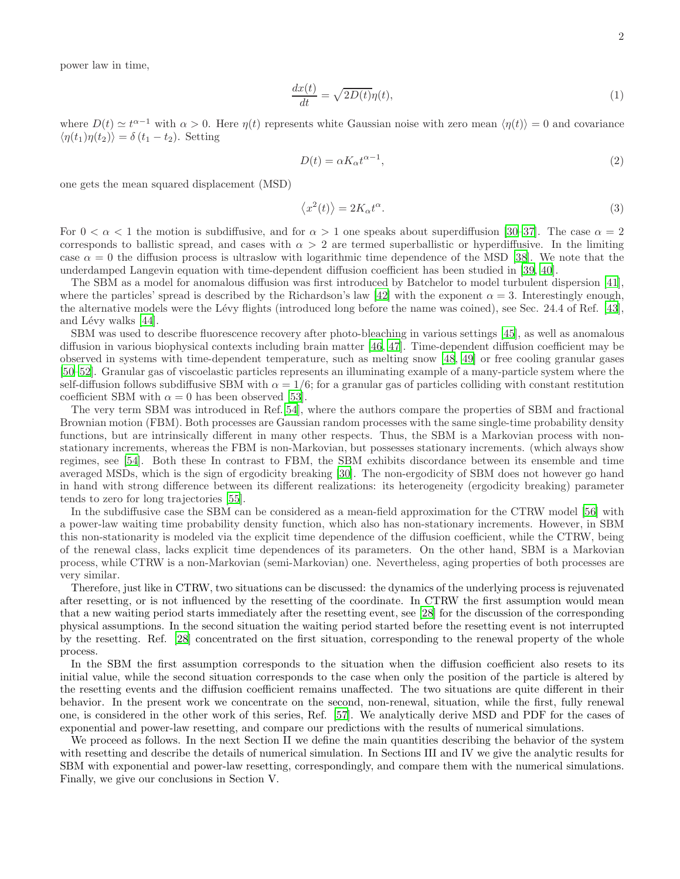power law in time,

$$
\frac{dx(t)}{dt} = \sqrt{2D(t)}\eta(t),\tag{1}
$$

where  $D(t) \simeq t^{\alpha-1}$  with  $\alpha > 0$ . Here  $\eta(t)$  represents white Gaussian noise with zero mean  $\langle \eta(t) \rangle = 0$  and covariance  $\langle \eta(t_1)\eta(t_2)\rangle = \delta(t_1-t_2)$ . Setting

$$
D(t) = \alpha K_{\alpha} t^{\alpha - 1},\tag{2}
$$

one gets the mean squared displacement (MSD)

<span id="page-1-0"></span>
$$
\langle x^2(t) \rangle = 2K_\alpha t^\alpha. \tag{3}
$$

For  $0 < \alpha < 1$  the motion is subdiffusive, and for  $\alpha > 1$  one speaks about superdiffusion [\[30](#page-14-18)[–37\]](#page-14-19). The case  $\alpha = 2$ corresponds to ballistic spread, and cases with  $\alpha > 2$  are termed superballistic or hyperdiffusive. In the limiting case  $\alpha = 0$  the diffusion process is ultraslow with logarithmic time dependence of the MSD [\[38\]](#page-14-20). We note that the underdamped Langevin equation with time-dependent diffusion coefficient has been studied in [\[39](#page-14-21), [40\]](#page-14-22).

The SBM as a model for anomalous diffusion was first introduced by Batchelor to model turbulent dispersion [\[41\]](#page-14-23), where the particles' spread is described by the Richardson's law [\[42](#page-14-24)] with the exponent  $\alpha = 3$ . Interestingly enough, the alternative models were the Lévy flights (introduced long before the name was coined), see Sec. 24.4 of Ref. [\[43\]](#page-14-25), and Lévy walks  $[44]$ .

SBM was used to describe fluorescence recovery after photo-bleaching in various settings [\[45\]](#page-14-27), as well as anomalous diffusion in various biophysical contexts including brain matter [\[46](#page-14-28), [47](#page-14-29)]. Time-dependent diffusion coefficient may be observed in systems with time-dependent temperature, such as melting snow [\[48,](#page-14-30) [49](#page-14-31)] or free cooling granular gases [\[50](#page-14-32)[–52\]](#page-14-33). Granular gas of viscoelastic particles represents an illuminating example of a many-particle system where the self-diffusion follows subdiffusive SBM with  $\alpha = 1/6$ ; for a granular gas of particles colliding with constant restitution coefficient SBM with  $\alpha = 0$  has been observed [\[53](#page-14-34)].

The very term SBM was introduced in Ref.[\[54\]](#page-14-35), where the authors compare the properties of SBM and fractional Brownian motion (FBM). Both processes are Gaussian random processes with the same single-time probability density functions, but are intrinsically different in many other respects. Thus, the SBM is a Markovian process with nonstationary increments, whereas the FBM is non-Markovian, but possesses stationary increments. (which always show regimes, see [\[54](#page-14-35)]. Both these In contrast to FBM, the SBM exhibits discordance between its ensemble and time averaged MSDs, which is the sign of ergodicity breaking [\[30\]](#page-14-18). The non-ergodicity of SBM does not however go hand in hand with strong difference between its different realizations: its heterogeneity (ergodicity breaking) parameter tends to zero for long trajectories [\[55\]](#page-14-36).

In the subdiffusive case the SBM can be considered as a mean-field approximation for the CTRW model [\[56\]](#page-14-37) with a power-law waiting time probability density function, which also has non-stationary increments. However, in SBM this non-stationarity is modeled via the explicit time dependence of the diffusion coefficient, while the CTRW, being of the renewal class, lacks explicit time dependences of its parameters. On the other hand, SBM is a Markovian process, while CTRW is a non-Markovian (semi-Markovian) one. Nevertheless, aging properties of both processes are very similar.

Therefore, just like in CTRW, two situations can be discussed: the dynamics of the underlying process is rejuvenated after resetting, or is not influenced by the resetting of the coordinate. In CTRW the first assumption would mean that a new waiting period starts immediately after the resetting event, see [\[28](#page-14-38)] for the discussion of the corresponding physical assumptions. In the second situation the waiting period started before the resetting event is not interrupted by the resetting. Ref. [\[28\]](#page-14-38) concentrated on the first situation, corresponding to the renewal property of the whole process.

In the SBM the first assumption corresponds to the situation when the diffusion coefficient also resets to its initial value, while the second situation corresponds to the case when only the position of the particle is altered by the resetting events and the diffusion coefficient remains unaffected. The two situations are quite different in their behavior. In the present work we concentrate on the second, non-renewal, situation, while the first, fully renewal one, is considered in the other work of this series, Ref. [\[57\]](#page-14-39). We analytically derive MSD and PDF for the cases of exponential and power-law resetting, and compare our predictions with the results of numerical simulations.

We proceed as follows. In the next Section II we define the main quantities describing the behavior of the system with resetting and describe the details of numerical simulation. In Sections III and IV we give the analytic results for SBM with exponential and power-law resetting, correspondingly, and compare them with the numerical simulations. Finally, we give our conclusions in Section V.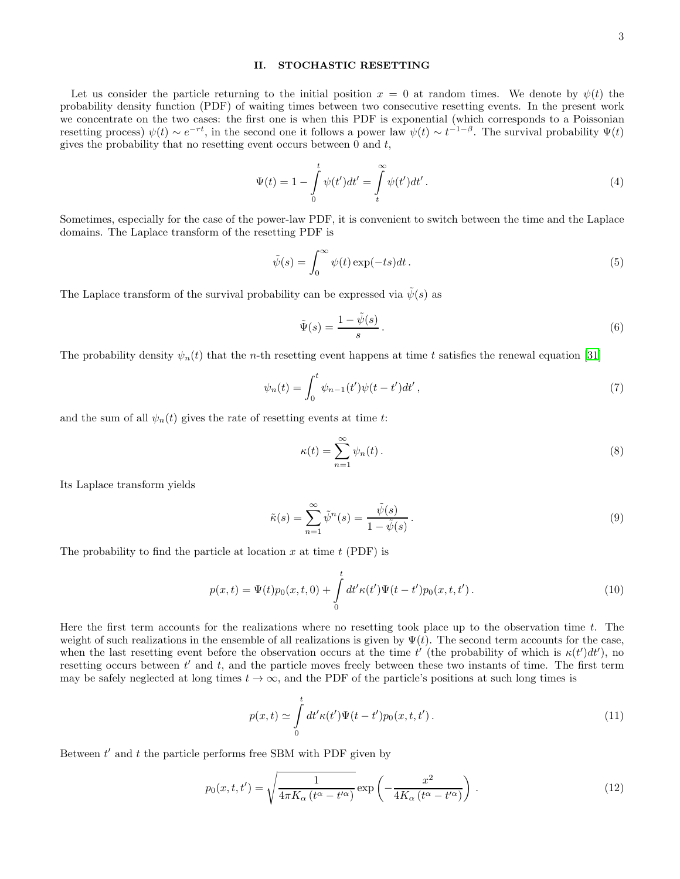## II. STOCHASTIC RESETTING

Let us consider the particle returning to the initial position  $x = 0$  at random times. We denote by  $\psi(t)$  the probability density function (PDF) of waiting times between two consecutive resetting events. In the present work we concentrate on the two cases: the first one is when this PDF is exponential (which corresponds to a Poissonian resetting process)  $\psi(t) \sim e^{-rt}$ , in the second one it follows a power law  $\psi(t) \sim t^{-1-\beta}$ . The survival probability  $\Psi(t)$ gives the probability that no resetting event occurs between  $0$  and  $t$ ,

<span id="page-2-1"></span>
$$
\Psi(t) = 1 - \int_{0}^{t} \psi(t')dt' = \int_{t}^{\infty} \psi(t')dt'.
$$
\n(4)

Sometimes, especially for the case of the power-law PDF, it is convenient to switch between the time and the Laplace domains. The Laplace transform of the resetting PDF is

$$
\tilde{\psi}(s) = \int_0^\infty \psi(t) \exp(-ts) dt.
$$
\n(5)

The Laplace transform of the survival probability can be expressed via  $\tilde{\psi}(s)$  as

<span id="page-2-5"></span>
$$
\tilde{\Psi}(s) = \frac{1 - \tilde{\psi}(s)}{s} \,. \tag{6}
$$

The probability density  $\psi_n(t)$  that the *n*-th resetting event happens at time t satisfies the renewal equation [\[31\]](#page-14-40)

$$
\psi_n(t) = \int_0^t \psi_{n-1}(t') \psi(t - t') dt', \tag{7}
$$

and the sum of all  $\psi_n(t)$  gives the rate of resetting events at time t:

$$
\kappa(t) = \sum_{n=1}^{\infty} \psi_n(t).
$$
 (8)

Its Laplace transform yields

<span id="page-2-4"></span>
$$
\tilde{\kappa}(s) = \sum_{n=1}^{\infty} \tilde{\psi}^n(s) = \frac{\tilde{\psi}(s)}{1 - \tilde{\psi}(s)}.
$$
\n(9)

The probability to find the particle at location  $x$  at time  $t$  (PDF) is

<span id="page-2-0"></span>
$$
p(x,t) = \Psi(t)p_0(x,t,0) + \int_0^t dt' \kappa(t')\Psi(t-t')p_0(x,t,t').
$$
\n(10)

Here the first term accounts for the realizations where no resetting took place up to the observation time t. The weight of such realizations in the ensemble of all realizations is given by  $\Psi(t)$ . The second term accounts for the case, when the last resetting event before the observation occurs at the time  $t'$  (the probability of which is  $\kappa(t')dt'$ ), no resetting occurs between  $t'$  and  $t$ , and the particle moves freely between these two instants of time. The first term may be safely neglected at long times  $t \to \infty$ , and the PDF of the particle's positions at such long times is

<span id="page-2-2"></span>
$$
p(x,t) \simeq \int_{0}^{t} dt' \kappa(t') \Psi(t-t') p_0(x,t,t'). \qquad (11)
$$

Between  $t'$  and  $t$  the particle performs free SBM with PDF given by

<span id="page-2-3"></span>
$$
p_0(x, t, t') = \sqrt{\frac{1}{4\pi K_\alpha \left(t^\alpha - t'^\alpha\right)}} \exp\left(-\frac{x^2}{4K_\alpha \left(t^\alpha - t'^\alpha\right)}\right). \tag{12}
$$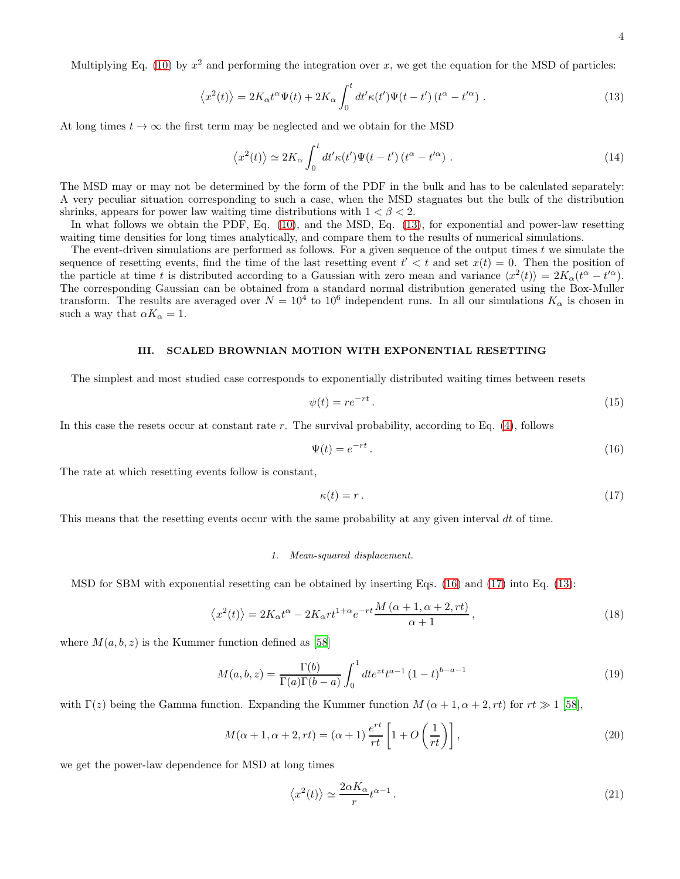<span id="page-3-0"></span>
$$
\langle x^2(t) \rangle = 2K_\alpha t^\alpha \Psi(t) + 2K_\alpha \int_0^t dt' \kappa(t') \Psi(t - t') \left( t^\alpha - t'^\alpha \right). \tag{13}
$$

At long times  $t \to \infty$  the first term may be neglected and we obtain for the MSD

<span id="page-3-4"></span>
$$
\langle x^2(t) \rangle \simeq 2K_{\alpha} \int_0^t dt' \kappa(t') \Psi(t-t') \left(t^{\alpha} - t'^{\alpha}\right). \tag{14}
$$

The MSD may or may not be determined by the form of the PDF in the bulk and has to be calculated separately: A very peculiar situation corresponding to such a case, when the MSD stagnates but the bulk of the distribution shrinks, appears for power law waiting time distributions with  $1 < \beta < 2$ .

In what follows we obtain the PDF, Eq. [\(10\)](#page-2-0), and the MSD, Eq. [\(13\)](#page-3-0), for exponential and power-law resetting waiting time densities for long times analytically, and compare them to the results of numerical simulations.

The event-driven simulations are performed as follows. For a given sequence of the output times t we simulate the sequence of resetting events, find the time of the last resetting event  $t' < t$  and set  $x(t) = 0$ . Then the position of the particle at time t is distributed according to a Gaussian with zero mean and variance  $\langle x^2(t) \rangle = 2K_\alpha(t^\alpha - t'^\alpha)$ . The corresponding Gaussian can be obtained from a standard normal distribution generated using the Box-Muller transform. The results are averaged over  $N = 10^4$  to  $10^6$  independent runs. In all our simulations  $K_{\alpha}$  is chosen in such a way that  $\alpha K_{\alpha} = 1$ .

## III. SCALED BROWNIAN MOTION WITH EXPONENTIAL RESETTING

The simplest and most studied case corresponds to exponentially distributed waiting times between resets

$$
\psi(t) = re^{-rt}.
$$
\n<sup>(15)</sup>

In this case the resets occur at constant rate  $r$ . The survival probability, according to Eq.  $(4)$ , follows

<span id="page-3-1"></span>
$$
\Psi(t) = e^{-rt} \,. \tag{16}
$$

The rate at which resetting events follow is constant,

<span id="page-3-2"></span>
$$
\kappa(t) = r \,. \tag{17}
$$

This means that the resetting events occur with the same probability at any given interval dt of time.

#### *1. Mean-squared displacement.*

MSD for SBM with exponential resetting can be obtained by inserting Eqs. [\(16\)](#page-3-1) and [\(17\)](#page-3-2) into Eq. [\(13\)](#page-3-0):

$$
\langle x^2(t) \rangle = 2K_{\alpha}t^{\alpha} - 2K_{\alpha}rt^{1+\alpha}e^{-rt}\frac{M\left(\alpha+1,\alpha+2,rt\right)}{\alpha+1},\tag{18}
$$

where  $M(a, b, z)$  is the Kummer function defined as [\[58](#page-14-41)]

$$
M(a,b,z) = \frac{\Gamma(b)}{\Gamma(a)\Gamma(b-a)} \int_0^1 dt e^{zt} t^{a-1} (1-t)^{b-a-1}
$$
 (19)

with  $\Gamma(z)$  being the Gamma function. Expanding the Kummer function  $M(\alpha+1,\alpha+2,rt)$  for  $rt \gg 1$  [\[58\]](#page-14-41),

$$
M(\alpha+1, \alpha+2, rt) = (\alpha+1) \frac{e^{rt}}{rt} \left[1 + O\left(\frac{1}{rt}\right)\right],
$$
\n(20)

we get the power-law dependence for MSD at long times

<span id="page-3-3"></span>
$$
\langle x^2(t) \rangle \simeq \frac{2\alpha K_\alpha}{r} t^{\alpha - 1} \,. \tag{21}
$$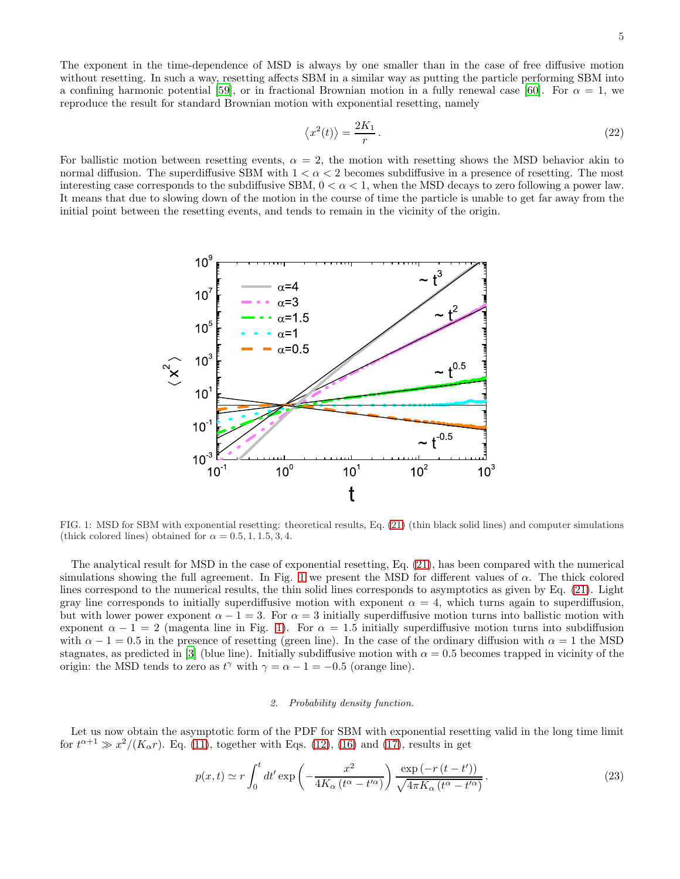The exponent in the time-dependence of MSD is always by one smaller than in the case of free diffusive motion without resetting. In such a way, resetting affects SBM in a similar way as putting the particle performing SBM into a confining harmonic potential [\[59\]](#page-14-42), or in fractional Brownian motion in a fully renewal case [\[60\]](#page-14-43). For  $\alpha = 1$ , we reproduce the result for standard Brownian motion with exponential resetting, namely

$$
\langle x^2(t) \rangle = \frac{2K_1}{r} \,. \tag{22}
$$

For ballistic motion between resetting events,  $\alpha = 2$ , the motion with resetting shows the MSD behavior akin to normal diffusion. The superdiffusive SBM with  $1 < \alpha < 2$  becomes subdiffusive in a presence of resetting. The most interesting case corresponds to the subdiffusive SBM,  $0 < \alpha < 1$ , when the MSD decays to zero following a power law. It means that due to slowing down of the motion in the course of time the particle is unable to get far away from the initial point between the resetting events, and tends to remain in the vicinity of the origin.



<span id="page-4-0"></span>FIG. 1: MSD for SBM with exponential resetting: theoretical results, Eq. [\(21\)](#page-3-3) (thin black solid lines) and computer simulations (thick colored lines) obtained for  $\alpha = 0.5, 1, 1.5, 3, 4$ .

The analytical result for MSD in the case of exponential resetting, Eq. [\(21\)](#page-3-3), has been compared with the numerical simulations showing the full agreement. In Fig. [1](#page-4-0) we present the MSD for different values of  $\alpha$ . The thick colored lines correspond to the numerical results, the thin solid lines corresponds to asymptotics as given by Eq. [\(21\)](#page-3-3). Light gray line corresponds to initially superdiffusive motion with exponent  $\alpha = 4$ , which turns again to superdiffusion, but with lower power exponent  $\alpha - 1 = 3$ . For  $\alpha = 3$  initially superdiffusive motion turns into ballistic motion with exponent  $\alpha - 1 = 2$  (magenta line in Fig. [1\)](#page-4-0). For  $\alpha = 1.5$  initially superdiffusive motion turns into subdiffusion with  $\alpha - 1 = 0.5$  in the presence of resetting (green line). In the case of the ordinary diffusion with  $\alpha = 1$  the MSD stagnates, as predicted in [\[3\]](#page-13-2) (blue line). Initially subdiffusive motion with  $\alpha = 0.5$  becomes trapped in vicinity of the origin: the MSD tends to zero as  $t^{\gamma}$  with  $\gamma = \alpha - 1 = -0.5$  (orange line).

## *2. Probability density function.*

Let us now obtain the asymptotic form of the PDF for SBM with exponential resetting valid in the long time limit for  $t^{\alpha+1} \gg x^2/(K_\alpha r)$ . Eq. [\(11\)](#page-2-2), together with Eqs. [\(12\)](#page-2-3), [\(16\)](#page-3-1) and [\(17\)](#page-3-2), results in get

<span id="page-4-1"></span>
$$
p(x,t) \simeq r \int_0^t dt' \exp\left(-\frac{x^2}{4K_\alpha \left(t^\alpha - t'^\alpha\right)}\right) \frac{\exp\left(-r\left(t - t'\right)\right)}{\sqrt{4\pi K_\alpha \left(t^\alpha - t'^\alpha\right)}}.\tag{23}
$$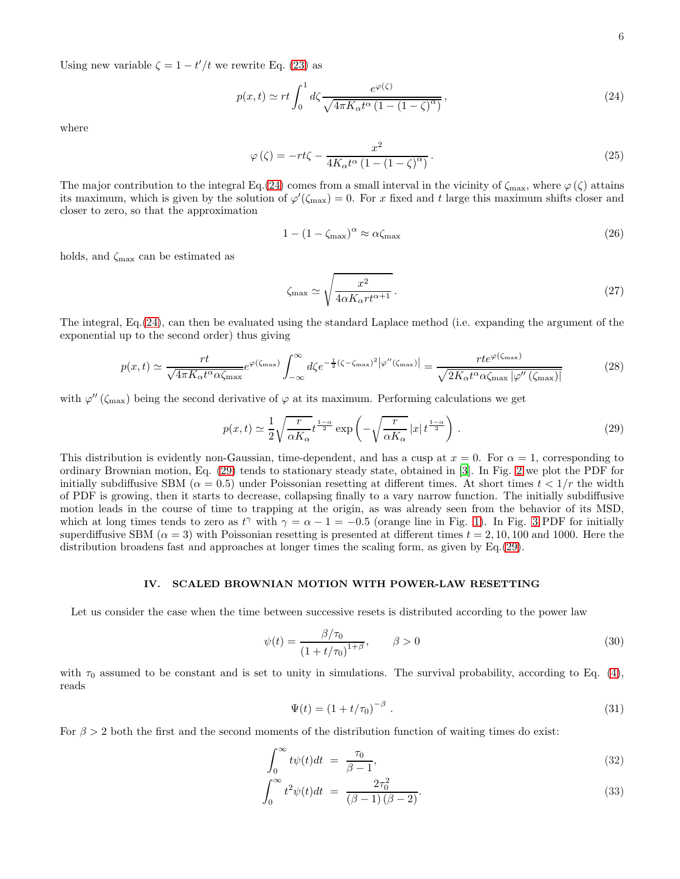Using new variable  $\zeta = 1 - t'/t$  we rewrite Eq. [\(23\)](#page-4-1) as

<span id="page-5-0"></span>
$$
p(x,t) \simeq rt \int_0^1 d\zeta \frac{e^{\varphi(\zeta)}}{\sqrt{4\pi K_\alpha t^\alpha \left(1 - \left(1 - \zeta\right)^\alpha\right)}},\tag{24}
$$

where

$$
\varphi\left(\zeta\right) = -rt\zeta - \frac{x^2}{4K_\alpha t^\alpha \left(1 - \left(1 - \zeta\right)^\alpha\right)}\,. \tag{25}
$$

The major contribution to the integral Eq.[\(24\)](#page-5-0) comes from a small interval in the vicinity of  $\zeta_{\text{max}}$ , where  $\varphi(\zeta)$  attains its maximum, which is given by the solution of  $\varphi'(\zeta_{\text{max}}) = 0$ . For x fixed and t large this maximum shifts closer and closer to zero, so that the approximation

$$
1 - \left(1 - \zeta_{\text{max}}\right)^{\alpha} \approx \alpha \zeta_{\text{max}} \tag{26}
$$

holds, and  $\zeta_{\text{max}}$  can be estimated as

$$
\zeta_{\text{max}} \simeq \sqrt{\frac{x^2}{4\alpha K_\alpha r t^{\alpha+1}}} \,. \tag{27}
$$

The integral, Eq.[\(24\)](#page-5-0), can then be evaluated using the standard Laplace method (i.e. expanding the argument of the exponential up to the second order) thus giving

$$
p(x,t) \simeq \frac{rt}{\sqrt{4\pi K_{\alpha}t^{\alpha}\alpha\zeta_{\max}}}e^{\varphi(\zeta_{\max})}\int_{-\infty}^{\infty}d\zeta e^{-\frac{1}{2}(\zeta-\zeta_{\max})^{2}}|\varphi''(\zeta_{\max})| = \frac{rte^{\varphi(\zeta_{\max})}}{\sqrt{2K_{\alpha}t^{\alpha}\alpha\zeta_{\max}}|\varphi''(\zeta_{\max})|}
$$
(28)

with  $\varphi''(\zeta_{\text{max}})$  being the second derivative of  $\varphi$  at its maximum. Performing calculations we get

<span id="page-5-1"></span>
$$
p(x,t) \simeq \frac{1}{2} \sqrt{\frac{r}{\alpha K_{\alpha}}} t^{\frac{1-\alpha}{2}} \exp\left(-\sqrt{\frac{r}{\alpha K_{\alpha}}} |x| t^{\frac{1-\alpha}{2}}\right). \tag{29}
$$

This distribution is evidently non-Gaussian, time-dependent, and has a cusp at  $x = 0$ . For  $\alpha = 1$ , corresponding to ordinary Brownian motion, Eq. [\(29\)](#page-5-1) tends to stationary steady state, obtained in [\[3](#page-13-2)]. In Fig. [2](#page-6-0) we plot the PDF for initially subdiffusive SBM ( $\alpha = 0.5$ ) under Poissonian resetting at different times. At short times  $t < 1/r$  the width of PDF is growing, then it starts to decrease, collapsing finally to a vary narrow function. The initially subdiffusive motion leads in the course of time to trapping at the origin, as was already seen from the behavior of its MSD, which at long times tends to zero as  $t^{\gamma}$  with  $\gamma = \alpha - 1 = -0.5$  (orange line in Fig. [1\)](#page-4-0). In Fig. [3](#page-6-1) PDF for initially superdiffusive SBM ( $\alpha = 3$ ) with Poissonian resetting is presented at different times  $t = 2, 10, 100$  and 1000. Here the distribution broadens fast and approaches at longer times the scaling form, as given by Eq.[\(29\)](#page-5-1).

## IV. SCALED BROWNIAN MOTION WITH POWER-LAW RESETTING

Let us consider the case when the time between successive resets is distributed according to the power law

$$
\psi(t) = \frac{\beta/\tau_0}{(1 + t/\tau_0)^{1+\beta}}, \qquad \beta > 0
$$
\n(30)

with  $\tau_0$  assumed to be constant and is set to unity in simulations. The survival probability, according to Eq. [\(4\)](#page-2-1), reads

<span id="page-5-2"></span>
$$
\Psi(t) = (1 + t/\tau_0)^{-\beta} \tag{31}
$$

For  $\beta > 2$  both the first and the second moments of the distribution function of waiting times do exist:

$$
\int_0^\infty t\psi(t)dt = \frac{\tau_0}{\beta - 1},\tag{32}
$$

$$
\int_0^\infty t^2 \psi(t) dt = \frac{2\tau_0^2}{(\beta - 1)(\beta - 2)}.
$$
\n(33)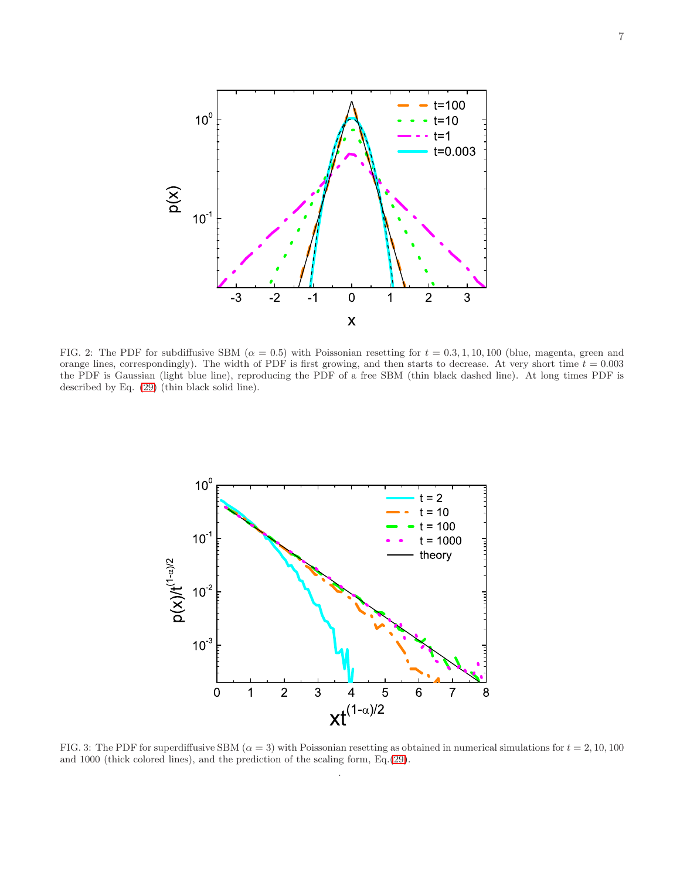

<span id="page-6-0"></span>FIG. 2: The PDF for subdiffusive SBM ( $\alpha = 0.5$ ) with Poissonian resetting for  $t = 0.3, 1, 10, 100$  (blue, magenta, green and orange lines, correspondingly). The width of PDF is first growing, and then starts to decrease. At very short time  $t = 0.003$ the PDF is Gaussian (light blue line), reproducing the PDF of a free SBM (thin black dashed line). At long times PDF is described by Eq. [\(29\)](#page-5-1) (thin black solid line).



<span id="page-6-1"></span>FIG. 3: The PDF for superdiffusive SBM ( $\alpha = 3$ ) with Poissonian resetting as obtained in numerical simulations for  $t = 2, 10, 100$ and 1000 (thick colored lines), and the prediction of the scaling form, Eq.[\(29\)](#page-5-1). .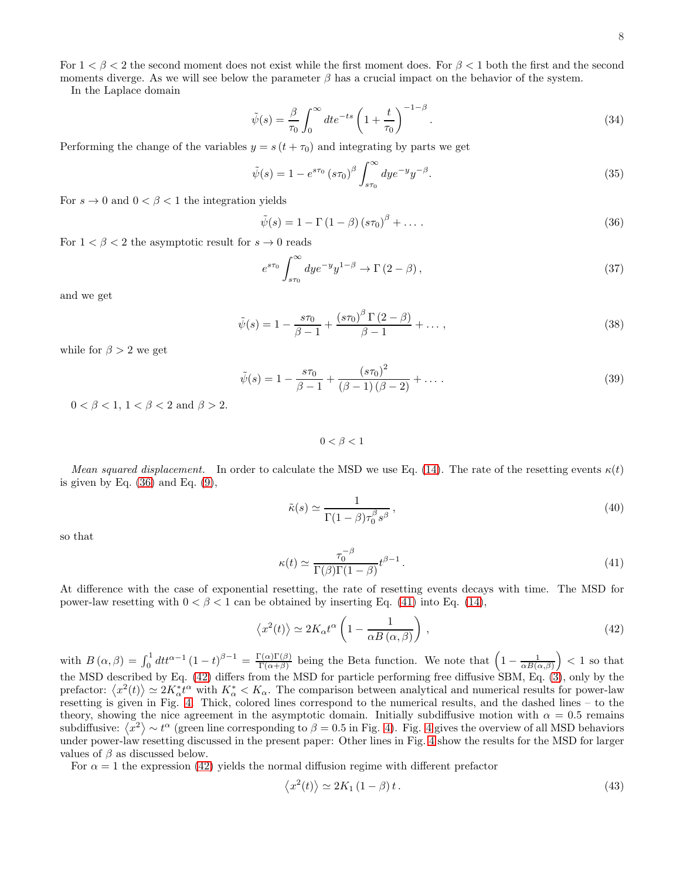For  $1 < \beta < 2$  the second moment does not exist while the first moment does. For  $\beta < 1$  both the first and the second moments diverge. As we will see below the parameter  $\beta$  has a crucial impact on the behavior of the system.

In the Laplace domain

$$
\tilde{\psi}(s) = \frac{\beta}{\tau_0} \int_0^\infty dt e^{-ts} \left( 1 + \frac{t}{\tau_0} \right)^{-1-\beta} . \tag{34}
$$

Performing the change of the variables  $y = s(t + \tau_0)$  and integrating by parts we get

$$
\tilde{\psi}(s) = 1 - e^{s\tau_0} (s\tau_0)^{\beta} \int_{s\tau_0}^{\infty} dy e^{-y} y^{-\beta}.
$$
\n(35)

For  $s \to 0$  and  $0 < \beta < 1$  the integration yields

<span id="page-7-0"></span>
$$
\tilde{\psi}(s) = 1 - \Gamma(1 - \beta)\left(s\tau_0\right)^{\beta} + \dots \tag{36}
$$

For  $1 < \beta < 2$  the asymptotic result for  $s \to 0$  reads

$$
e^{s\tau_0} \int_{s\tau_0}^{\infty} dy e^{-y} y^{1-\beta} \to \Gamma(2-\beta) , \qquad (37)
$$

and we get

<span id="page-7-3"></span>
$$
\tilde{\psi}(s) = 1 - \frac{s\tau_0}{\beta - 1} + \frac{\left(s\tau_0\right)^{\beta} \Gamma\left(2 - \beta\right)}{\beta - 1} + \dots,\tag{38}
$$

while for  $\beta > 2$  we get

<span id="page-7-4"></span>
$$
\tilde{\psi}(s) = 1 - \frac{s\tau_0}{\beta - 1} + \frac{(s\tau_0)^2}{(\beta - 1)(\beta - 2)} + \dots
$$
\n(39)

 $0 < \beta < 1$ ,  $1 < \beta < 2$  and  $\beta > 2$ .

 $0 < \beta < 1$ 

Mean squared displacement. In order to calculate the MSD we use Eq. [\(14\)](#page-3-4). The rate of the resetting events  $\kappa(t)$ is given by Eq.  $(36)$  and Eq.  $(9)$ ,

$$
\tilde{\kappa}(s) \simeq \frac{1}{\Gamma(1-\beta)\tau_0^{\beta} s^{\beta}},\tag{40}
$$

so that

<span id="page-7-1"></span>
$$
\kappa(t) \simeq \frac{\tau_0^{-\beta}}{\Gamma(\beta)\Gamma(1-\beta)} t^{\beta-1} \,. \tag{41}
$$

At difference with the case of exponential resetting, the rate of resetting events decays with time. The MSD for power-law resetting with  $0 < \beta < 1$  can be obtained by inserting Eq. [\(41\)](#page-7-1) into Eq. [\(14\)](#page-3-4),

<span id="page-7-2"></span>
$$
\langle x^2(t) \rangle \simeq 2K_\alpha t^\alpha \left( 1 - \frac{1}{\alpha B(\alpha, \beta)} \right) , \qquad (42)
$$

with  $B(\alpha, \beta) = \int_0^1 dt t^{\alpha-1} (1-t)^{\beta-1} = \frac{\Gamma(\alpha)\Gamma(\beta)}{\Gamma(\alpha+\beta)}$  $\frac{\Gamma(\alpha)\Gamma(\beta)}{\Gamma(\alpha+\beta)}$  being the Beta function. We note that  $\left(1-\frac{1}{\alpha B(\alpha,\beta)}\right) < 1$  so that the MSD described by Eq.  $(42)$  differs from the MSD for particle performing free diffusive SBM, Eq.  $(3)$ , only by the prefactor:  $\langle x^2(t) \rangle \simeq 2K_\alpha^* t^\alpha$  with  $K_\alpha^* < K_\alpha$ . The comparison between analytical and numerical results for power-law resetting is given in Fig. [4.](#page-8-0) Thick, colored lines correspond to the numerical results, and the dashed lines – to the theory, showing the nice agreement in the asymptotic domain. Initially subdiffusive motion with  $\alpha = 0.5$  remains subdiffusive:  $\langle x^2 \rangle \sim t^{\alpha}$  (green line corresponding to  $\beta = 0.5$  in Fig. [4\)](#page-8-0). Fig. [4](#page-8-0) gives the overview of all MSD behaviors under power-law resetting discussed in the present paper: Other lines in Fig. [4](#page-8-0) show the results for the MSD for larger values of  $\beta$  as discussed below.

For  $\alpha = 1$  the expression [\(42\)](#page-7-2) yields the normal diffusion regime with different prefactor

$$
\langle x^2(t) \rangle \simeq 2K_1 \left(1 - \beta\right) t. \tag{43}
$$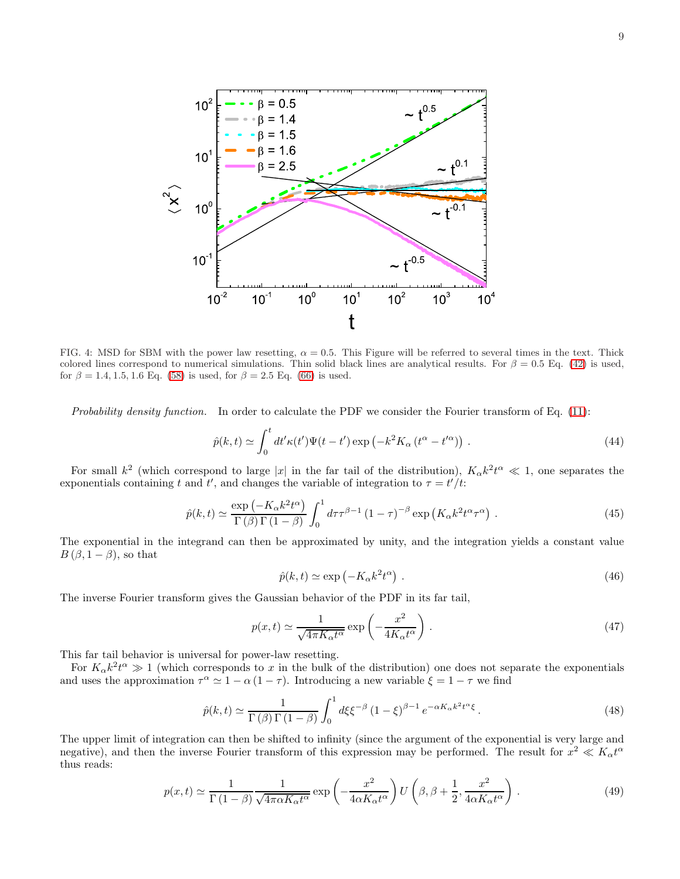

<span id="page-8-0"></span>FIG. 4: MSD for SBM with the power law resetting,  $\alpha = 0.5$ . This Figure will be referred to several times in the text. Thick colored lines correspond to numerical simulations. Thin solid black lines are analytical results. For  $\beta = 0.5$  Eq. [\(42\)](#page-7-2) is used, for  $\beta = 1.4, 1.5, 1.6$  Eq. [\(58\)](#page-10-0) is used, for  $\beta = 2.5$  Eq. [\(66\)](#page-12-0) is used.

Probability density function. In order to calculate the PDF we consider the Fourier transform of Eq. [\(11\)](#page-2-2):

$$
\hat{p}(k,t) \simeq \int_0^t dt' \kappa(t') \Psi(t-t') \exp\left(-k^2 K_\alpha \left(t^\alpha - t'^\alpha\right)\right) \,. \tag{44}
$$

For small  $k^2$  (which correspond to large |x| in the far tail of the distribution),  $K_\alpha k^2 t^\alpha \ll 1$ , one separates the exponentials containing t and t', and changes the variable of integration to  $\tau = t'/t$ .

$$
\hat{p}(k,t) \simeq \frac{\exp\left(-K_{\alpha}k^{2}t^{\alpha}\right)}{\Gamma\left(\beta\right)\Gamma\left(1-\beta\right)} \int_{0}^{1} d\tau \tau^{\beta-1} \left(1-\tau\right)^{-\beta} \exp\left(K_{\alpha}k^{2}t^{\alpha}\tau^{\alpha}\right). \tag{45}
$$

The exponential in the integrand can then be approximated by unity, and the integration yields a constant value  $B(\beta, 1-\beta)$ , so that

$$
\hat{p}(k,t) \simeq \exp\left(-K_{\alpha}k^2t^{\alpha}\right). \tag{46}
$$

The inverse Fourier transform gives the Gaussian behavior of the PDF in its far tail,

<span id="page-8-2"></span>
$$
p(x,t) \simeq \frac{1}{\sqrt{4\pi K_{\alpha}t^{\alpha}}} \exp\left(-\frac{x^2}{4K_{\alpha}t^{\alpha}}\right). \tag{47}
$$

This far tail behavior is universal for power-law resetting.

For  $K_{\alpha}k^2t^{\alpha} \gg 1$  (which corresponds to x in the bulk of the distribution) one does not separate the exponentials and uses the approximation  $\tau^{\alpha} \simeq 1 - \alpha (1 - \tau)$ . Introducing a new variable  $\xi = 1 - \tau$  we find

$$
\hat{p}(k,t) \simeq \frac{1}{\Gamma(\beta)\Gamma(1-\beta)} \int_0^1 d\xi \xi^{-\beta} \left(1-\xi\right)^{\beta-1} e^{-\alpha K_\alpha k^2 t^\alpha \xi}.
$$
\n(48)

The upper limit of integration can then be shifted to infinity (since the argument of the exponential is very large and negative), and then the inverse Fourier transform of this expression may be performed. The result for  $x^2 \ll K_\alpha t^\alpha$ thus reads:

<span id="page-8-1"></span>
$$
p(x,t) \simeq \frac{1}{\Gamma(1-\beta)} \frac{1}{\sqrt{4\pi\alpha K_{\alpha}t^{\alpha}}} \exp\left(-\frac{x^{2}}{4\alpha K_{\alpha}t^{\alpha}}\right) U\left(\beta, \beta + \frac{1}{2}, \frac{x^{2}}{4\alpha K_{\alpha}t^{\alpha}}\right). \tag{49}
$$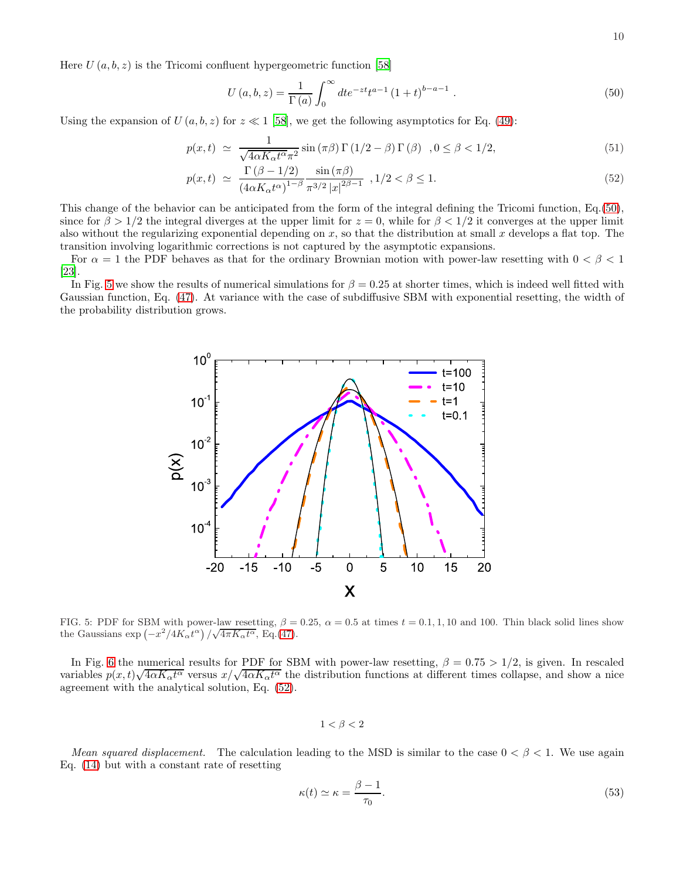Here  $U(a, b, z)$  is the Tricomi confluent hypergeometric function [\[58\]](#page-14-41)

<span id="page-9-0"></span>
$$
U(a,b,z) = \frac{1}{\Gamma(a)} \int_0^\infty dt e^{-zt} t^{a-1} (1+t)^{b-a-1} . \tag{50}
$$

Using the expansion of  $U(a, b, z)$  for  $z \ll 1$  [\[58\]](#page-14-41), we get the following asymptotics for Eq. [\(49\)](#page-8-1):

<span id="page-9-2"></span>
$$
p(x,t) \simeq \frac{1}{\sqrt{4\alpha K_{\alpha}t^{\alpha}}\pi^{2}}\sin\left(\pi\beta\right)\Gamma\left(1/2-\beta\right)\Gamma\left(\beta\right) , 0 \leq \beta < 1/2, \tag{51}
$$

$$
p(x,t) \simeq \frac{\Gamma(\beta - 1/2)}{(4\alpha K_{\alpha}t^{\alpha})^{1-\beta}} \frac{\sin(\pi\beta)}{\pi^{3/2} |x|^{2\beta - 1}}, 1/2 < \beta \le 1.
$$
 (52)

This change of the behavior can be anticipated from the form of the integral defining the Tricomi function, Eq.[\(50\)](#page-9-0), since for  $\beta > 1/2$  the integral diverges at the upper limit for  $z = 0$ , while for  $\beta < 1/2$  it converges at the upper limit also without the regularizing exponential depending on x, so that the distribution at small x develops a flat top. The transition involving logarithmic corrections is not captured by the asymptotic expansions.

For  $\alpha = 1$  the PDF behaves as that for the ordinary Brownian motion with power-law resetting with  $0 < \beta < 1$ [\[23\]](#page-14-13).

In Fig. [5](#page-9-1) we show the results of numerical simulations for  $\beta = 0.25$  at shorter times, which is indeed well fitted with Gaussian function, Eq. [\(47\)](#page-8-2). At variance with the case of subdiffusive SBM with exponential resetting, the width of the probability distribution grows.



<span id="page-9-1"></span>FIG. 5: PDF for SBM with power-law resetting,  $\beta = 0.25$ ,  $\alpha = 0.5$  at times  $t = 0.1, 1, 10$  and 100. Thin black solid lines show the Gaussians  $\exp(-x^2/4K_{\alpha}t^{\alpha})/\sqrt{4\pi K_{\alpha}t^{\alpha}},$  Eq.[\(47\)](#page-8-2).

In Fig. [6](#page-10-1) the numerical results for PDF for SBM with power-law resetting,  $\beta = 0.75 > 1/2$ , is given. In rescaled variables  $p(x, t)\sqrt{4\alpha K_{\alpha}t^{\alpha}}$  versus  $x/\sqrt{4\alpha K_{\alpha}t^{\alpha}}$  the distribution functions at different times collapse, and show a nice agreement with the analytical solution, Eq. [\(52\)](#page-9-2).

 $1 < \beta < 2$ 

Mean squared displacement. The calculation leading to the MSD is similar to the case  $0 < \beta < 1$ . We use again Eq. [\(14\)](#page-3-4) but with a constant rate of resetting

<span id="page-9-3"></span>
$$
\kappa(t) \simeq \kappa = \frac{\beta - 1}{\tau_0}.\tag{53}
$$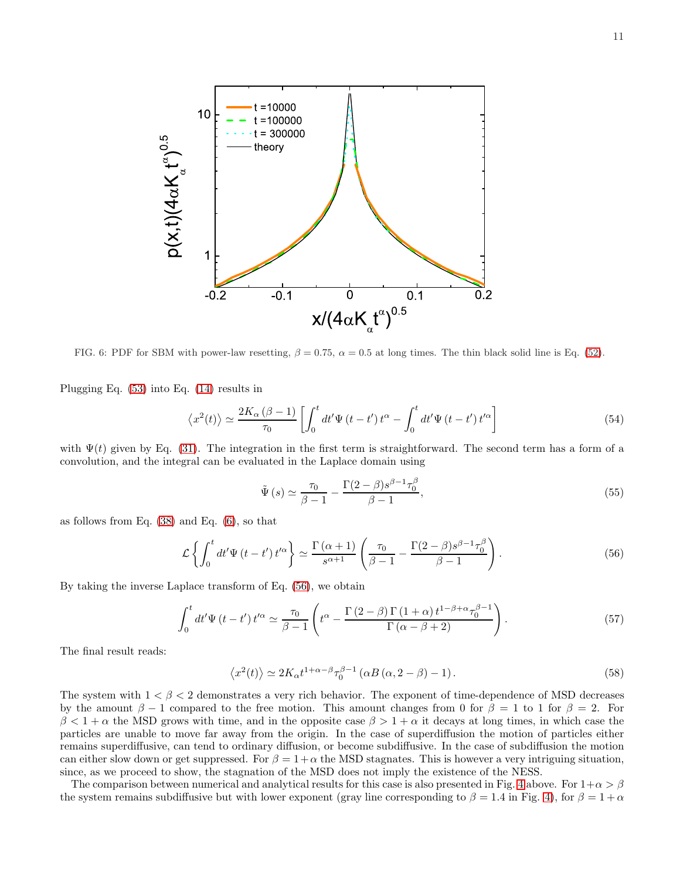

<span id="page-10-1"></span>FIG. 6: PDF for SBM with power-law resetting,  $\beta = 0.75$ ,  $\alpha = 0.5$  at long times. The thin black solid line is Eq. [\(52\)](#page-9-2).

Plugging Eq. [\(53\)](#page-9-3) into Eq. [\(14\)](#page-3-4) results in

<span id="page-10-3"></span>
$$
\left\langle x^{2}(t)\right\rangle \simeq \frac{2K_{\alpha}\left(\beta-1\right)}{\tau_{0}}\left[\int_{0}^{t}dt'\Psi\left(t-t'\right)t^{\alpha}-\int_{0}^{t}dt'\Psi\left(t-t'\right)t'^{\alpha}\right]
$$
\n(54)

with  $\Psi(t)$  given by Eq. [\(31\)](#page-5-2). The integration in the first term is straightforward. The second term has a form of a convolution, and the integral can be evaluated in the Laplace domain using

$$
\tilde{\Psi}(s) \simeq \frac{\tau_0}{\beta - 1} - \frac{\Gamma(2 - \beta)s^{\beta - 1}\tau_0^{\beta}}{\beta - 1},\tag{55}
$$

as follows from Eq. [\(38\)](#page-7-3) and Eq. [\(6\)](#page-2-5), so that

<span id="page-10-2"></span>
$$
\mathcal{L}\left\{\int_0^t dt' \Psi\left(t - t'\right) t'^{\alpha}\right\} \simeq \frac{\Gamma\left(\alpha + 1\right)}{s^{\alpha + 1}} \left(\frac{\tau_0}{\beta - 1} - \frac{\Gamma(2 - \beta)s^{\beta - 1}}{\beta - 1}\tau_0^{\beta}\right). \tag{56}
$$

By taking the inverse Laplace transform of Eq. [\(56\)](#page-10-2), we obtain

$$
\int_0^t dt' \Psi \left( t - t' \right) t'^{\alpha} \simeq \frac{\tau_0}{\beta - 1} \left( t^{\alpha} - \frac{\Gamma \left( 2 - \beta \right) \Gamma \left( 1 + \alpha \right) t^{1 - \beta + \alpha} \tau_0^{\beta - 1}}{\Gamma \left( \alpha - \beta + 2 \right)} \right). \tag{57}
$$

The final result reads:

<span id="page-10-0"></span>
$$
\langle x^2(t) \rangle \simeq 2K_{\alpha}t^{1+\alpha-\beta}\tau_0^{\beta-1} \left( \alpha B\left(\alpha, 2-\beta\right)-1 \right). \tag{58}
$$

The system with  $1 < \beta < 2$  demonstrates a very rich behavior. The exponent of time-dependence of MSD decreases by the amount  $\beta - 1$  compared to the free motion. This amount changes from 0 for  $\beta = 1$  to 1 for  $\beta = 2$ . For  $\beta < 1 + \alpha$  the MSD grows with time, and in the opposite case  $\beta > 1 + \alpha$  it decays at long times, in which case the particles are unable to move far away from the origin. In the case of superdiffusion the motion of particles either remains superdiffusive, can tend to ordinary diffusion, or become subdiffusive. In the case of subdiffusion the motion can either slow down or get suppressed. For  $\beta = 1+\alpha$  the MSD stagnates. This is however a very intriguing situation, since, as we proceed to show, the stagnation of the MSD does not imply the existence of the NESS.

The comparison between numerical and analytical results for this case is also presented in Fig. [4](#page-8-0) above. For  $1+\alpha > \beta$ the system remains subdiffusive but with lower exponent (gray line corresponding to  $\beta = 1.4$  in Fig. [4\)](#page-8-0), for  $\beta = 1 + \alpha$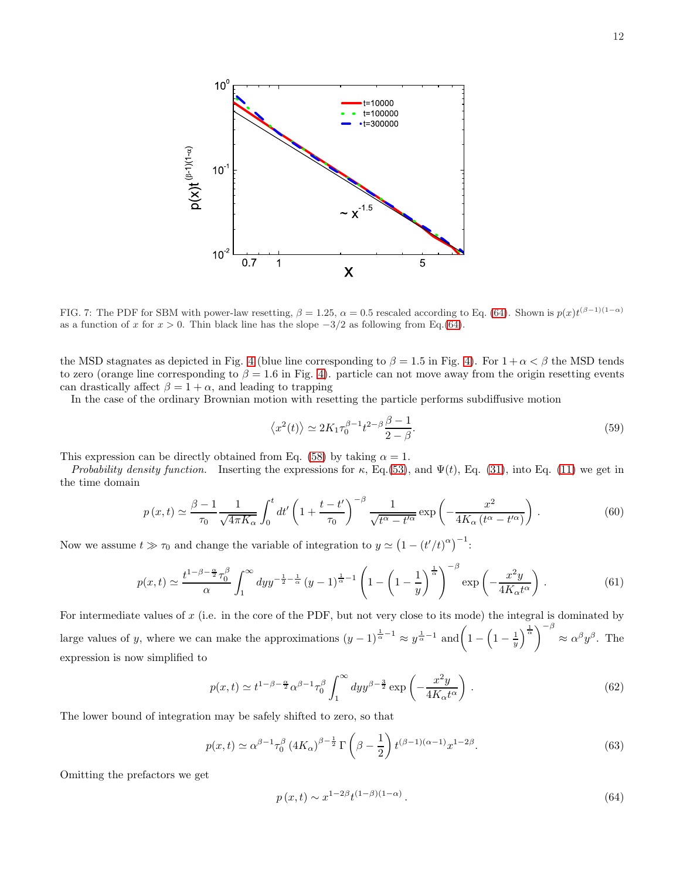

<span id="page-11-1"></span>FIG. 7: The PDF for SBM with power-law resetting,  $\beta = 1.25$ ,  $\alpha = 0.5$  rescaled according to Eq. [\(64\)](#page-11-0). Shown is  $p(x)t^{(\beta-1)(1-\alpha)}$ as a function of x for  $x > 0$ . Thin black line has the slope  $-3/2$  as following from Eq.[\(64\)](#page-11-0).

the MSD stagnates as depicted in Fig. [4](#page-8-0) (blue line corresponding to  $\beta = 1.5$  in Fig. [4\)](#page-8-0). For  $1 + \alpha < \beta$  the MSD tends to zero (orange line corresponding to  $\beta = 1.6$  in Fig. [4\)](#page-8-0). particle can not move away from the origin resetting events can drastically affect  $\beta = 1 + \alpha$ , and leading to trapping

In the case of the ordinary Brownian motion with resetting the particle performs subdiffusive motion

$$
\langle x^2(t) \rangle \simeq 2K_1 \tau_0^{\beta - 1} t^{2 - \beta} \frac{\beta - 1}{2 - \beta}.
$$
\n
$$
(59)
$$

This expression can be directly obtained from Eq. [\(58\)](#page-10-0) by taking  $\alpha = 1$ .

Probability density function. Inserting the expressions for  $\kappa$ , Eq.[\(53\)](#page-9-3), and  $\Psi(t)$ , Eq. [\(31\)](#page-5-2), into Eq. [\(11\)](#page-2-2) we get in the time domain

$$
p(x,t) \simeq \frac{\beta - 1}{\tau_0} \frac{1}{\sqrt{4\pi K_\alpha}} \int_0^t dt' \left(1 + \frac{t - t'}{\tau_0}\right)^{-\beta} \frac{1}{\sqrt{t^\alpha - t'^\alpha}} \exp\left(-\frac{x^2}{4K_\alpha \left(t^\alpha - t'^\alpha\right)}\right). \tag{60}
$$

Now we assume  $t \gg \tau_0$  and change the variable of integration to  $y \simeq (1 - (t'/t)^{\alpha})^{-1}$ :

$$
p(x,t) \simeq \frac{t^{1-\beta-\frac{\alpha}{2}}\tau_0^{\beta}}{\alpha} \int_1^{\infty} dy y^{-\frac{1}{2}-\frac{1}{\alpha}} \left(y-1\right)^{\frac{1}{\alpha}-1} \left(1-\left(1-\frac{1}{y}\right)^{\frac{1}{\alpha}}\right)^{-\beta} \exp\left(-\frac{x^2y}{4K_{\alpha}t^{\alpha}}\right). \tag{61}
$$

For intermediate values of  $x$  (i.e. in the core of the PDF, but not very close to its mode) the integral is dominated by large values of y, where we can make the approximations  $(y-1)^{\frac{1}{\alpha}-1} \approx y^{\frac{1}{\alpha}-1}$  and  $\left(1-\left(1-\frac{1}{y}\right)^{\frac{1}{\alpha}}\right)^{-\beta}$  $\approx \alpha^{\beta} y^{\beta}$ . The expression is now simplified to

$$
p(x,t) \simeq t^{1-\beta-\frac{\alpha}{2}} \alpha^{\beta-1} \tau_0^{\beta} \int_1^{\infty} dy y^{\beta-\frac{3}{2}} \exp\left(-\frac{x^2 y}{4K_\alpha t^\alpha}\right). \tag{62}
$$

The lower bound of integration may be safely shifted to zero, so that

$$
p(x,t) \simeq \alpha^{\beta - 1} \tau_0^{\beta} \left( 4K_{\alpha} \right)^{\beta - \frac{1}{2}} \Gamma \left( \beta - \frac{1}{2} \right) t^{(\beta - 1)(\alpha - 1)} x^{1 - 2\beta}.
$$
 (63)

Omitting the prefactors we get

<span id="page-11-0"></span>
$$
p(x,t) \sim x^{1-2\beta} t^{(1-\beta)(1-\alpha)}.
$$
\n(64)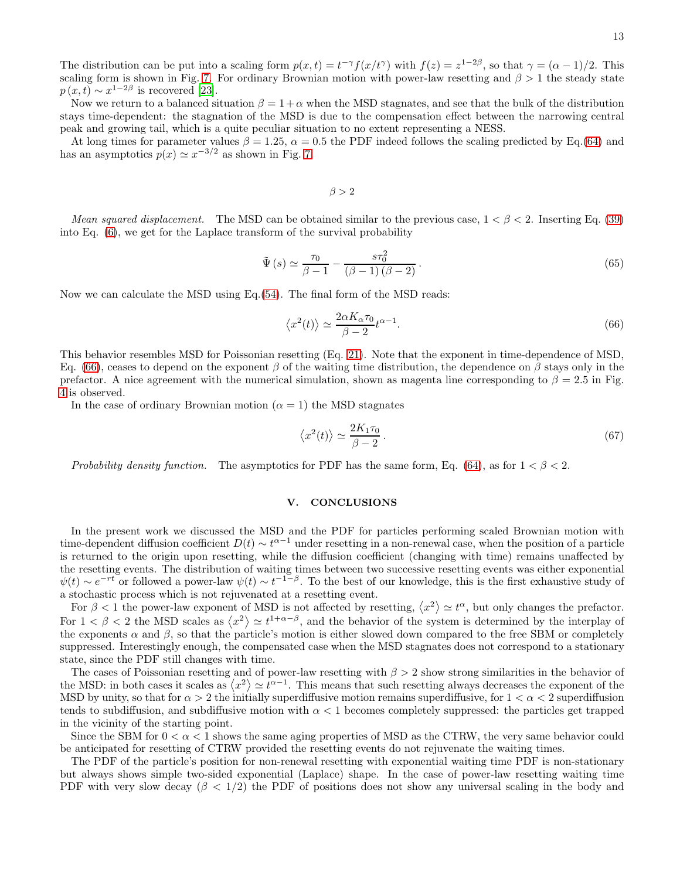The distribution can be put into a scaling form  $p(x,t) = t^{-\gamma} f(x/t^{\gamma})$  with  $f(z) = z^{1-2\beta}$ , so that  $\gamma = (\alpha - 1)/2$ . This scaling form is shown in Fig. [7.](#page-11-1) For ordinary Brownian motion with power-law resetting and  $\beta > 1$  the steady state  $p(x, t) \sim x^{1-2\beta}$  is recovered [\[23\]](#page-14-13).

Now we return to a balanced situation  $\beta = 1 + \alpha$  when the MSD stagnates, and see that the bulk of the distribution stays time-dependent: the stagnation of the MSD is due to the compensation effect between the narrowing central peak and growing tail, which is a quite peculiar situation to no extent representing a NESS.

At long times for parameter values  $\beta = 1.25$ ,  $\alpha = 0.5$  the PDF indeed follows the scaling predicted by Eq.[\(64\)](#page-11-0) and has an asymptotics  $p(x) \simeq x^{-3/2}$  as shown in Fig. [7.](#page-11-1)

 $\beta > 2$ 

Mean squared displacement. The MSD can be obtained similar to the previous case,  $1 < \beta < 2$ . Inserting Eq. [\(39\)](#page-7-4) into Eq. [\(6\)](#page-2-5), we get for the Laplace transform of the survival probability

$$
\tilde{\Psi}\left(s\right) \simeq \frac{\tau_0}{\beta - 1} - \frac{s\tau_0^2}{\left(\beta - 1\right)\left(\beta - 2\right)}\,. \tag{65}
$$

Now we can calculate the MSD using  $Eq.(54)$  $Eq.(54)$ . The final form of the MSD reads:

<span id="page-12-0"></span>
$$
\langle x^2(t) \rangle \simeq \frac{2\alpha K_\alpha \tau_0}{\beta - 2} t^{\alpha - 1}.
$$
\n(66)

This behavior resembles MSD for Poissonian resetting (Eq. [21\)](#page-3-3). Note that the exponent in time-dependence of MSD, Eq. [\(66\)](#page-12-0), ceases to depend on the exponent  $\beta$  of the waiting time distribution, the dependence on  $\beta$  stays only in the prefactor. A nice agreement with the numerical simulation, shown as magenta line corresponding to  $\beta = 2.5$  in Fig. [4](#page-8-0) is observed.

In the case of ordinary Brownian motion ( $\alpha = 1$ ) the MSD stagnates

$$
\langle x^2(t) \rangle \simeq \frac{2K_1 \tau_0}{\beta - 2} \,. \tag{67}
$$

Probability density function. The asymptotics for PDF has the same form, Eq. [\(64\)](#page-11-0), as for  $1 < \beta < 2$ .

#### V. CONCLUSIONS

In the present work we discussed the MSD and the PDF for particles performing scaled Brownian motion with time-dependent diffusion coefficient  $D(t) \sim t^{\alpha-1}$  under resetting in a non-renewal case, when the position of a particle is returned to the origin upon resetting, while the diffusion coefficient (changing with time) remains unaffected by the resetting events. The distribution of waiting times between two successive resetting events was either exponential  $\psi(t) \sim e^{-rt}$  or followed a power-law  $\psi(t) \sim t^{-1-\beta}$ . To the best of our knowledge, this is the first exhaustive study of a stochastic process which is not rejuvenated at a resetting event.

For  $\beta < 1$  the power-law exponent of MSD is not affected by resetting,  $\langle x^2 \rangle \simeq t^{\alpha}$ , but only changes the prefactor. For  $1 < \beta < 2$  the MSD scales as  $\langle x^2 \rangle \simeq t^{1+\alpha-\beta}$ , and the behavior of the system is determined by the interplay of the exponents  $\alpha$  and  $\beta$ , so that the particle's motion is either slowed down compared to the free SBM or completely suppressed. Interestingly enough, the compensated case when the MSD stagnates does not correspond to a stationary state, since the PDF still changes with time.

The cases of Poissonian resetting and of power-law resetting with  $\beta > 2$  show strong similarities in the behavior of the MSD: in both cases it scales as  $\langle x^2 \rangle \simeq t^{\alpha-1}$ . This means that such resetting always decreases the exponent of the MSD by unity, so that for  $\alpha > 2$  the initially superdiffusive motion remains superdiffusive, for  $1 < \alpha < 2$  superdiffusion tends to subdiffusion, and subdiffusive motion with  $\alpha < 1$  becomes completely suppressed: the particles get trapped in the vicinity of the starting point.

Since the SBM for  $0 < \alpha < 1$  shows the same aging properties of MSD as the CTRW, the very same behavior could be anticipated for resetting of CTRW provided the resetting events do not rejuvenate the waiting times.

The PDF of the particle's position for non-renewal resetting with exponential waiting time PDF is non-stationary but always shows simple two-sided exponential (Laplace) shape. In the case of power-law resetting waiting time PDF with very slow decay ( $\beta$  < 1/2) the PDF of positions does not show any universal scaling in the body and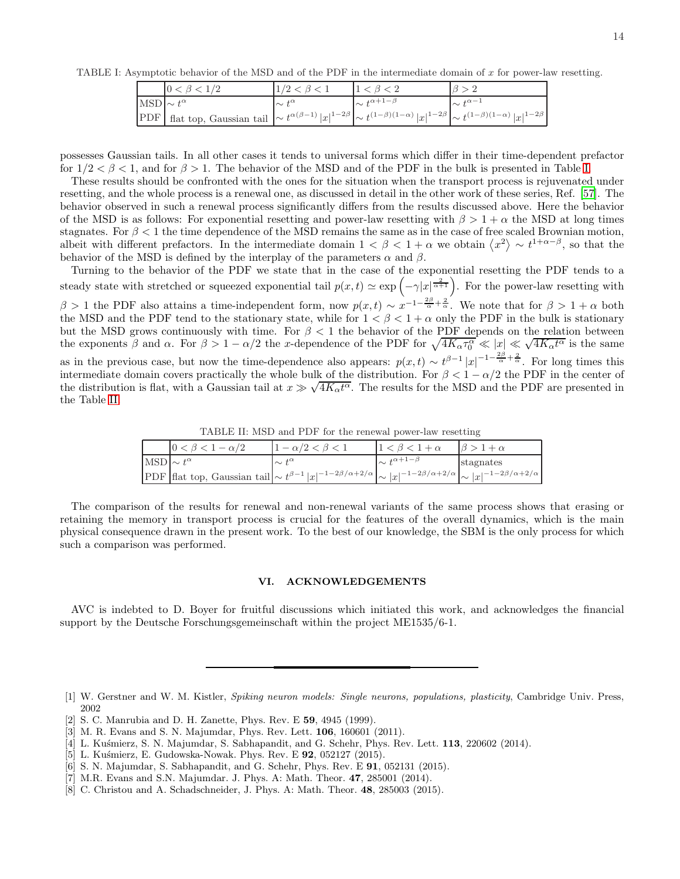TABLE I: Asymptotic behavior of the MSD and of the PDF in the intermediate domain of  $x$  for power-law resetting.

<span id="page-13-8"></span>

|                       | $0 < \beta < 1/2$                                                                                                                                                   | $1/2 < \beta < 1$ |                           |                     |
|-----------------------|---------------------------------------------------------------------------------------------------------------------------------------------------------------------|-------------------|---------------------------|---------------------|
| $MSD \sim t^{\alpha}$ |                                                                                                                                                                     | $\sim t^{\alpha}$ | $\sim t^{\alpha+1-\beta}$ | $\sim t^{\alpha-1}$ |
|                       | PDF flat top, Gaussian tail $  \sim t^{\alpha(\beta-1)}  x ^{1-2\beta}   \sim t^{(1-\beta)(1-\alpha)}  x ^{1-2\beta}   \sim t^{(1-\beta)(1-\alpha)}  x ^{1-2\beta}$ |                   |                           |                     |

possesses Gaussian tails. In all other cases it tends to universal forms which differ in their time-dependent prefactor for  $1/2 < \beta < 1$ , and for  $\beta > 1$ . The behavior of the MSD and of the PDF in the bulk is presented in Table [I.](#page-13-8)

These results should be confronted with the ones for the situation when the transport process is rejuvenated under resetting, and the whole process is a renewal one, as discussed in detail in the other work of these series, Ref. [\[57](#page-14-39)]. The behavior observed in such a renewal process significantly differs from the results discussed above. Here the behavior of the MSD is as follows: For exponential resetting and power-law resetting with  $\beta > 1 + \alpha$  the MSD at long times stagnates. For  $\beta < 1$  the time dependence of the MSD remains the same as in the case of free scaled Brownian motion, albeit with different prefactors. In the intermediate domain  $1 < \beta < 1 + \alpha$  we obtain  $\langle x^2 \rangle \sim t^{1+\alpha-\beta}$ , so that the behavior of the MSD is defined by the interplay of the parameters  $\alpha$  and  $\beta$ .

Turning to the behavior of the PDF we state that in the case of the exponential resetting the PDF tends to a steady state with stretched or squeezed exponential tail  $p(x,t) \simeq \exp\left(-\gamma |x|^{\frac{2}{\alpha+1}}\right)$ . For the power-law resetting with β > 1 the PDF also attains a time-independent form, now  $p(x,t) \sim x^{-1-\frac{2\beta}{\alpha}+\frac{2}{\alpha}}$ . We note that for β > 1 + α both the MSD and the PDF tend to the stationary state, while for  $1 < \beta < 1 + \alpha$  only the PDF in the bulk is stationary but the MSD grows continuously with time. For  $\beta < 1$  the behavior of the PDF depends on the relation between the exponents  $\beta$  and  $\alpha$ . For  $\beta > 1 - \alpha/2$  the x-dependence of the PDF for  $\sqrt{4K_{\alpha}\tau_0^{\alpha}} \ll |x| \ll \sqrt{4K_{\alpha}t^{\alpha}}$  is the same as in the previous case, but now the time-dependence also appears:  $p(x,t) \sim t^{\beta-1} |x|^{-1-\frac{2\beta}{\alpha}+\frac{2}{\alpha}}$ . For long times this intermediate domain covers practically the whole bulk of the distribution. For  $\beta < 1 - \alpha/2$  the PDF in the center of the distribution is flat, with a Gaussian tail at  $x \gg \sqrt{4K_{\alpha}t^{\alpha}}$ . The results for the MSD and the PDF are presented in the Table [II.](#page-13-9)

<span id="page-13-9"></span>TABLE II: MSD and PDF for the renewal power-law resetting

| $-\alpha/2$                                                                                                                                                                      | $1 - \alpha/2 < \beta < 1$ |                           |           |
|----------------------------------------------------------------------------------------------------------------------------------------------------------------------------------|----------------------------|---------------------------|-----------|
| $MSD \sim t^{\alpha}$                                                                                                                                                            | $\sim t^{\alpha}$          | $\sim t^{\alpha+1-\beta}$ | stagnates |
| PDF flat top, Gaussian tail $\left \sim t^{\beta-1} x ^{-1-2\beta/\alpha+2/\alpha}\right  \sim  x ^{-1-2\beta/\alpha+2/\alpha}\left \sim  x ^{-1-2\beta/\alpha+2/\alpha}\right $ |                            |                           |           |

The comparison of the results for renewal and non-renewal variants of the same process shows that erasing or retaining the memory in transport process is crucial for the features of the overall dynamics, which is the main physical consequence drawn in the present work. To the best of our knowledge, the SBM is the only process for which such a comparison was performed.

#### VI. ACKNOWLEDGEMENTS

AVC is indebted to D. Boyer for fruitful discussions which initiated this work, and acknowledges the financial support by the Deutsche Forschungsgemeinschaft within the project ME1535/6-1.

- <span id="page-13-1"></span>[2] S. C. Manrubia and D. H. Zanette, Phys. Rev. E 59, 4945 (1999).
- <span id="page-13-2"></span>[3] M. R. Evans and S. N. Majumdar, Phys. Rev. Lett. 106, 160601 (2011).
- <span id="page-13-3"></span>[4] L. Kus´mierz, S. N. Majumdar, S. Sabhapandit, and G. Schehr, Phys. Rev. Lett. 113, 220602 (2014).
- <span id="page-13-4"></span>[5] L. Kuśmierz, E. Gudowska-Nowak. Phys. Rev. E 92, 052127 (2015).
- <span id="page-13-5"></span>[6] S. N. Majumdar, S. Sabhapandit, and G. Schehr, Phys. Rev. E 91, 052131 (2015).
- <span id="page-13-6"></span>[7] M.R. Evans and S.N. Majumdar. J. Phys. A: Math. Theor. 47, 285001 (2014).
- <span id="page-13-7"></span>[8] C. Christou and A. Schadschneider, J. Phys. A: Math. Theor. 48, 285003 (2015).

<span id="page-13-0"></span><sup>[1]</sup> W. Gerstner and W. M. Kistler, *Spiking neuron models: Single neurons, populations, plasticity*, Cambridge Univ. Press, 2002